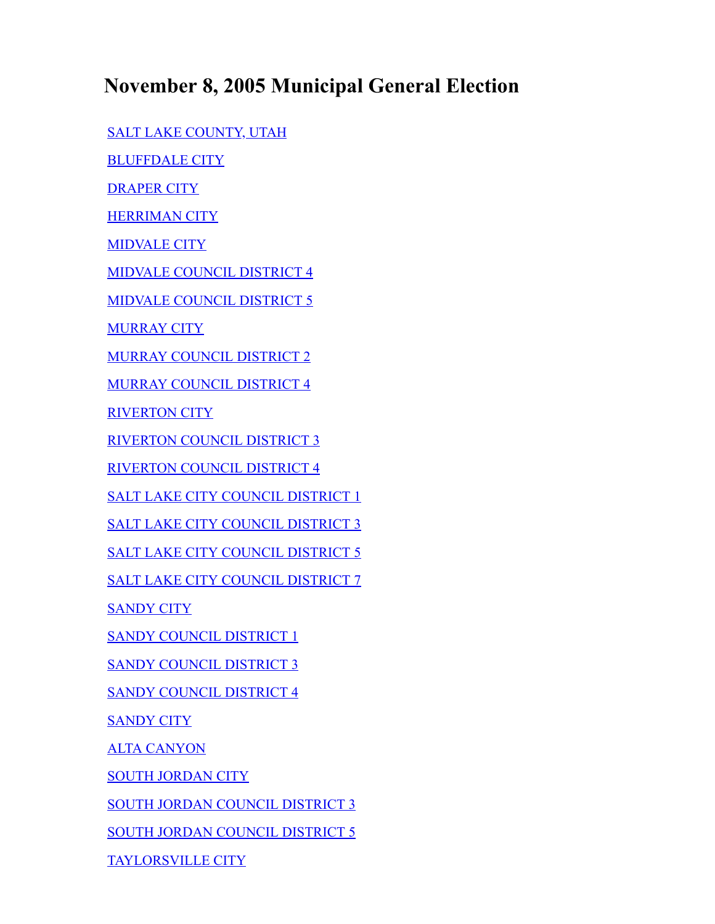## **November 8, 2005 Municipal General Election**

[SALT LAKE COUNTY, UTAH](#page-1-0)

[BLUFFDALE CITY](#page-1-1)

[DRAPER CITY](#page-1-2)

**[HERRIMAN CITY](#page-2-0)** 

[MIDVALE CITY](#page-2-1)

[MIDVALE COUNCIL DISTRICT 4](#page-3-0)

[MIDVALE COUNCIL DISTRICT 5](#page-3-1)

**[MURRAY CITY](#page-3-2)** 

[MURRAY COUNCIL DISTRICT 2](#page-3-3)

[MURRAY COUNCIL DISTRICT 4](#page-4-0)

[RIVERTON CITY](#page-4-1)

[RIVERTON COUNCIL DISTRICT 3](#page-4-2)

[RIVERTON COUNCIL DISTRICT 4](#page-4-3)

[SALT LAKE CITY COUNCIL DISTRICT 1](#page-5-0)

[SALT LAKE CITY COUNCIL DISTRICT 3](#page-5-1)

[SALT LAKE CITY COUNCIL DISTRICT 5](#page-5-2)

[SALT LAKE CITY COUNCIL DISTRICT 7](#page-6-0)

[SANDY CITY](#page-6-1)

[SANDY COUNCIL DISTRICT 1](#page-6-2)

[SANDY COUNCIL DISTRICT 3](#page-6-3)

[SANDY COUNCIL DISTRICT 4](#page-7-0)

**[SANDY CITY](#page-7-1)** 

[ALTA CANYON](#page-7-2)

**[SOUTH JORDAN CITY](#page-8-0)** 

[SOUTH JORDAN COUNCIL DISTRICT 3](#page-8-1)

[SOUTH JORDAN COUNCIL DISTRICT 5](#page-8-2)

[TAYLORSVILLE CITY](#page-8-3)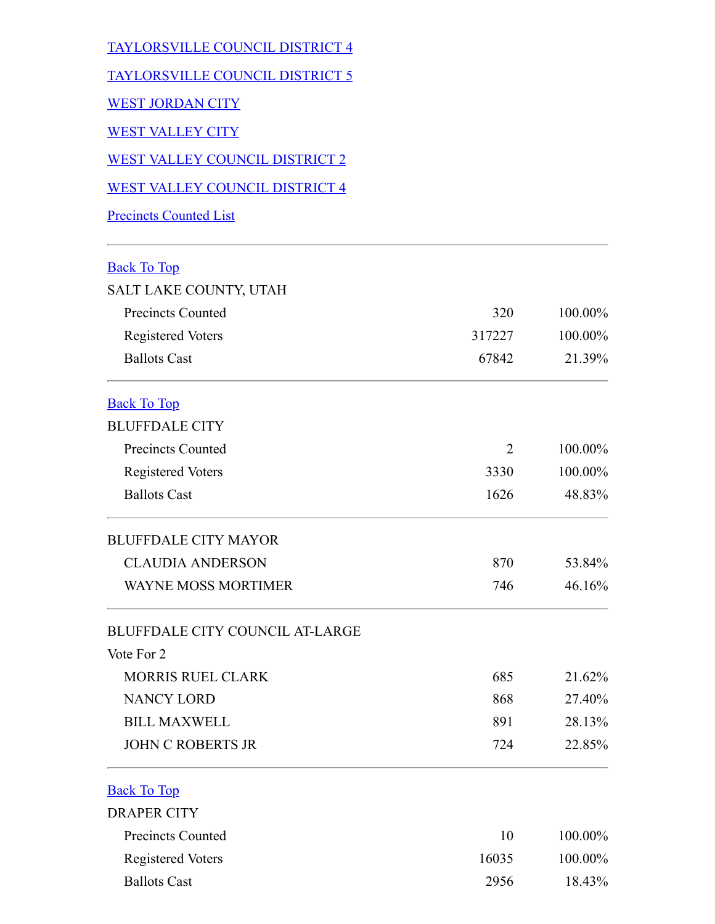<span id="page-1-2"></span><span id="page-1-1"></span><span id="page-1-0"></span>

| <b>TAYLORSVILLE COUNCIL DISTRICT 4</b> |        |         |
|----------------------------------------|--------|---------|
| <b>TAYLORSVILLE COUNCIL DISTRICT 5</b> |        |         |
| <b>WEST JORDAN CITY</b>                |        |         |
| <b>WEST VALLEY CITY</b>                |        |         |
| WEST VALLEY COUNCIL DISTRICT 2         |        |         |
| <b>WEST VALLEY COUNCIL DISTRICT 4</b>  |        |         |
| <b>Precincts Counted List</b>          |        |         |
| <b>Back To Top</b>                     |        |         |
| SALT LAKE COUNTY, UTAH                 |        |         |
| <b>Precincts Counted</b>               | 320    | 100.00% |
| <b>Registered Voters</b>               | 317227 | 100.00% |
| <b>Ballots Cast</b>                    | 67842  | 21.39%  |
| <b>Back To Top</b>                     |        |         |
| <b>BLUFFDALE CITY</b>                  |        |         |
| <b>Precincts Counted</b>               | 2      | 100.00% |
| <b>Registered Voters</b>               | 3330   | 100.00% |
| <b>Ballots Cast</b>                    | 1626   | 48.83%  |
| <b>BLUFFDALE CITY MAYOR</b>            |        |         |
| <b>CLAUDIA ANDERSON</b>                | 870    | 53.84%  |
| <b>WAYNE MOSS MORTIMER</b>             | 746    | 46.16%  |
| <b>BLUFFDALE CITY COUNCIL AT-LARGE</b> |        |         |
| Vote For 2                             |        |         |
| <b>MORRIS RUEL CLARK</b>               | 685    | 21.62%  |
| <b>NANCY LORD</b>                      | 868    | 27.40%  |
| <b>BILL MAXWELL</b>                    | 891    | 28.13%  |
| <b>JOHN C ROBERTS JR</b>               | 724    | 22.85%  |
| <b>Back To Top</b>                     |        |         |
| <b>DRAPER CITY</b>                     |        |         |
| <b>Precincts Counted</b>               | 10     | 100.00% |
| <b>Registered Voters</b>               | 16035  | 100.00% |
| <b>Ballots Cast</b>                    | 2956   | 18.43%  |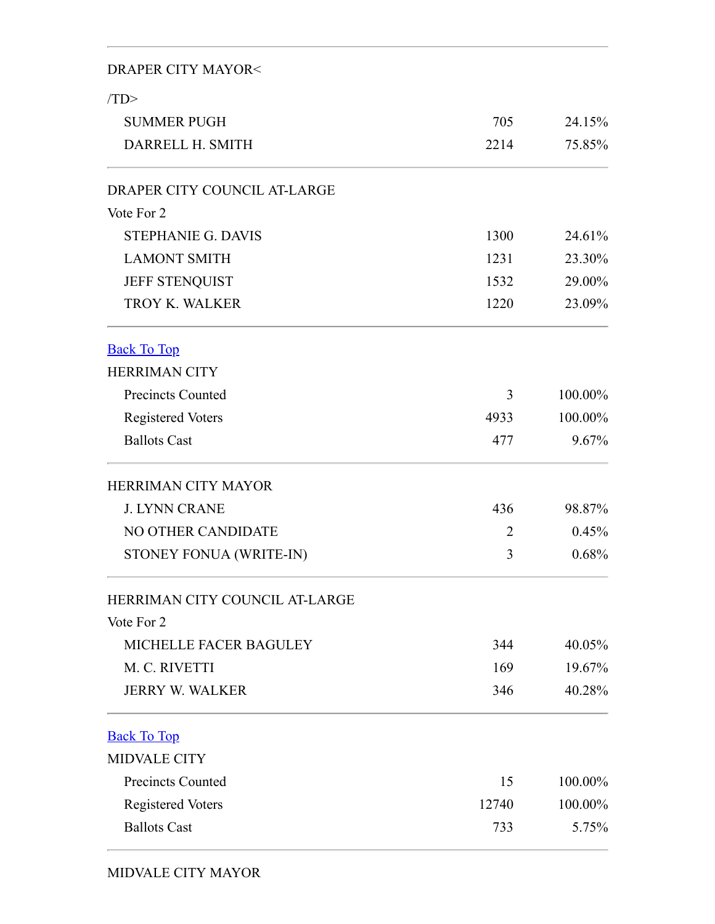## DRAPER CITY MAYOR<

<span id="page-2-1"></span><span id="page-2-0"></span>

| (TD)                           |                |         |
|--------------------------------|----------------|---------|
| <b>SUMMER PUGH</b>             | 705            | 24.15%  |
| DARRELL H. SMITH               | 2214           | 75.85%  |
| DRAPER CITY COUNCIL AT-LARGE   |                |         |
| Vote For 2                     |                |         |
| <b>STEPHANIE G. DAVIS</b>      | 1300           | 24.61%  |
| <b>LAMONT SMITH</b>            | 1231           | 23.30%  |
| JEFF STENQUIST                 | 1532           | 29.00%  |
| <b>TROY K. WALKER</b>          | 1220           | 23.09%  |
| <b>Back To Top</b>             |                |         |
| <b>HERRIMAN CITY</b>           |                |         |
| <b>Precincts Counted</b>       | 3              | 100.00% |
| <b>Registered Voters</b>       | 4933           | 100.00% |
| <b>Ballots Cast</b>            | 477            | 9.67%   |
| <b>HERRIMAN CITY MAYOR</b>     |                |         |
| <b>J. LYNN CRANE</b>           | 436            | 98.87%  |
| NO OTHER CANDIDATE             | $\overline{2}$ | 0.45%   |
| STONEY FONUA (WRITE-IN)        | 3              | 0.68%   |
| HERRIMAN CITY COUNCIL AT-LARGE |                |         |
| Vote For 2                     |                |         |
| <b>MICHELLE FACER BAGULEY</b>  | 344            | 40.05%  |
| M. C. RIVETTI                  | 169            | 19.67%  |
| <b>JERRY W. WALKER</b>         | 346            | 40.28%  |
| <b>Back To Top</b>             |                |         |
| <b>MIDVALE CITY</b>            |                |         |
| <b>Precincts Counted</b>       | 15             | 100.00% |
| <b>Registered Voters</b>       | 12740          | 100.00% |
| <b>Ballots Cast</b>            | 733            | 5.75%   |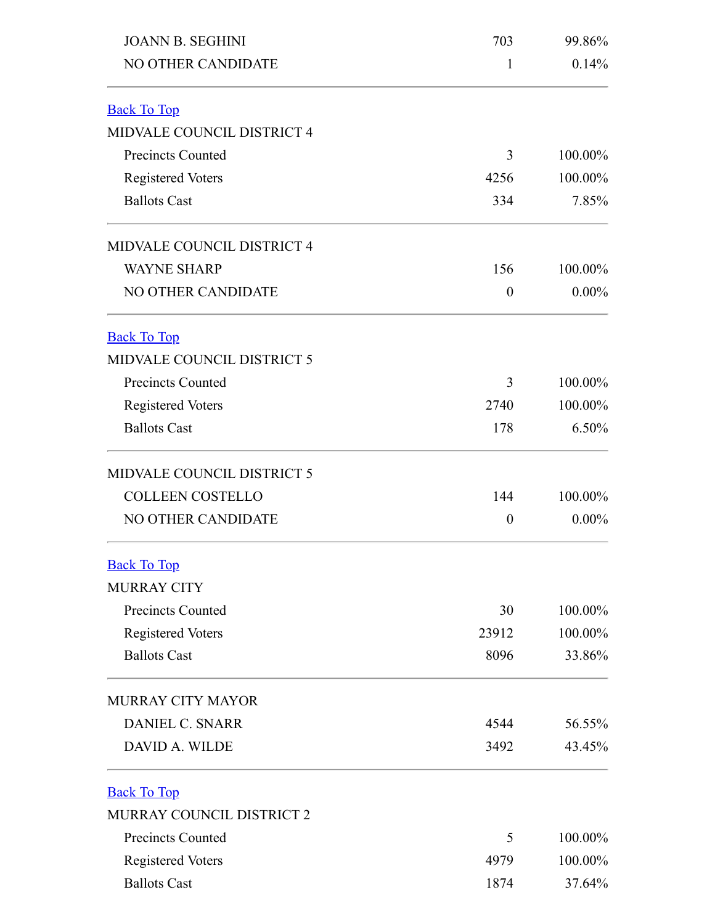<span id="page-3-3"></span><span id="page-3-2"></span><span id="page-3-1"></span><span id="page-3-0"></span>

| <b>JOANN B. SEGHINI</b>          | 703              | 99.86%   |  |
|----------------------------------|------------------|----------|--|
| NO OTHER CANDIDATE               | 1                | 0.14%    |  |
| <b>Back To Top</b>               |                  |          |  |
| MIDVALE COUNCIL DISTRICT 4       |                  |          |  |
| <b>Precincts Counted</b>         | 3                | 100.00%  |  |
| <b>Registered Voters</b>         | 4256             | 100.00%  |  |
| <b>Ballots Cast</b>              | 334              | 7.85%    |  |
| MIDVALE COUNCIL DISTRICT 4       |                  |          |  |
| <b>WAYNE SHARP</b>               | 156              | 100.00%  |  |
| NO OTHER CANDIDATE               | $\boldsymbol{0}$ | $0.00\%$ |  |
| <b>Back To Top</b>               |                  |          |  |
| MIDVALE COUNCIL DISTRICT 5       |                  |          |  |
| <b>Precincts Counted</b>         | 3                | 100.00%  |  |
| <b>Registered Voters</b>         | 2740             | 100.00%  |  |
| <b>Ballots Cast</b>              | 178              | 6.50%    |  |
| MIDVALE COUNCIL DISTRICT 5       |                  |          |  |
| <b>COLLEEN COSTELLO</b>          | 144              | 100.00%  |  |
| NO OTHER CANDIDATE               | $\theta$         | $0.00\%$ |  |
| <b>Back To Top</b>               |                  |          |  |
| <b>MURRAY CITY</b>               |                  |          |  |
| <b>Precincts Counted</b>         | 30               | 100.00%  |  |
| <b>Registered Voters</b>         | 23912            | 100.00%  |  |
| <b>Ballots Cast</b>              | 8096             | 33.86%   |  |
| <b>MURRAY CITY MAYOR</b>         |                  |          |  |
| <b>DANIEL C. SNARR</b>           | 4544             | 56.55%   |  |
| DAVID A. WILDE                   | 3492             | 43.45%   |  |
| <b>Back To Top</b>               |                  |          |  |
| <b>MURRAY COUNCIL DISTRICT 2</b> |                  |          |  |
| <b>Precincts Counted</b>         | 5                | 100.00%  |  |
| <b>Registered Voters</b>         | 4979             | 100.00%  |  |
| <b>Ballots Cast</b>              | 1874             | 37.64%   |  |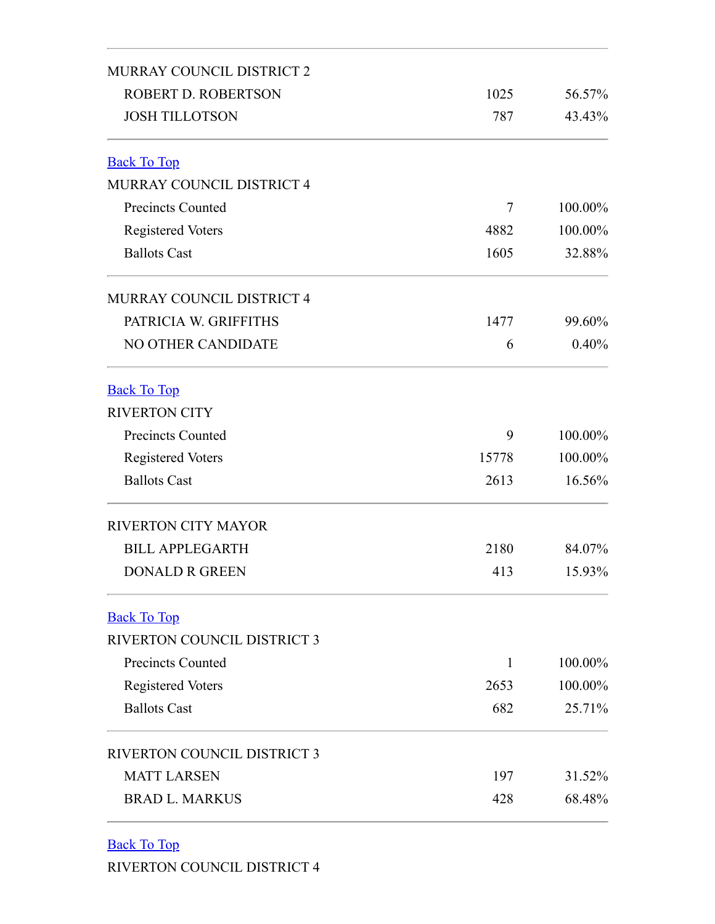<span id="page-4-1"></span><span id="page-4-0"></span>

| MURRAY COUNCIL DISTRICT 2          |              |         |
|------------------------------------|--------------|---------|
| <b>ROBERT D. ROBERTSON</b>         | 1025         | 56.57%  |
| <b>JOSH TILLOTSON</b>              | 787          | 43.43%  |
| <b>Back To Top</b>                 |              |         |
| MURRAY COUNCIL DISTRICT 4          |              |         |
| <b>Precincts Counted</b>           | 7            | 100.00% |
| <b>Registered Voters</b>           | 4882         | 100.00% |
| <b>Ballots Cast</b>                | 1605         | 32.88%  |
| <b>MURRAY COUNCIL DISTRICT 4</b>   |              |         |
| PATRICIA W. GRIFFITHS              | 1477         | 99.60%  |
| NO OTHER CANDIDATE                 | 6            | 0.40%   |
| <b>Back To Top</b>                 |              |         |
| <b>RIVERTON CITY</b>               |              |         |
| <b>Precincts Counted</b>           | 9            | 100.00% |
| <b>Registered Voters</b>           | 15778        | 100.00% |
| <b>Ballots Cast</b>                | 2613         | 16.56%  |
| <b>RIVERTON CITY MAYOR</b>         |              |         |
| <b>BILL APPLEGARTH</b>             | 2180         | 84.07%  |
| <b>DONALD R GREEN</b>              | 413          | 15.93%  |
| <b>Back To Top</b>                 |              |         |
| RIVERTON COUNCIL DISTRICT 3        |              |         |
| <b>Precincts Counted</b>           | $\mathbf{1}$ | 100.00% |
| <b>Registered Voters</b>           | 2653         | 100.00% |
| <b>Ballots Cast</b>                | 682          | 25.71%  |
| <b>RIVERTON COUNCIL DISTRICT 3</b> |              |         |
| <b>MATT LARSEN</b>                 | 197          | 31.52%  |
| <b>BRAD L. MARKUS</b>              | 428          | 68.48%  |

<span id="page-4-3"></span><span id="page-4-2"></span>Back To Top

RIVERTON COUNCIL DISTRICT 4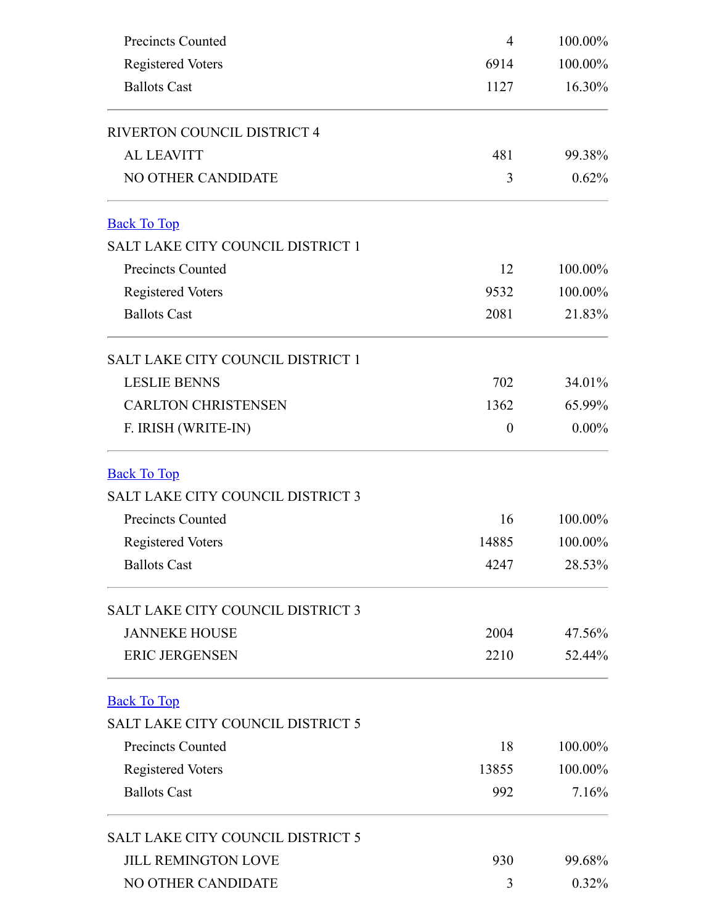<span id="page-5-2"></span><span id="page-5-1"></span><span id="page-5-0"></span>

| <b>Precincts Counted</b>                 | 4        | 100.00%  |  |
|------------------------------------------|----------|----------|--|
| Registered Voters                        | 6914     | 100.00%  |  |
| <b>Ballots Cast</b>                      | 1127     | 16.30%   |  |
| RIVERTON COUNCIL DISTRICT 4              |          |          |  |
| <b>AL LEAVITT</b>                        | 481      | 99.38%   |  |
| NO OTHER CANDIDATE                       | 3        | 0.62%    |  |
| <b>Back To Top</b>                       |          |          |  |
| SALT LAKE CITY COUNCIL DISTRICT 1        |          |          |  |
| <b>Precincts Counted</b>                 | 12       | 100.00%  |  |
| <b>Registered Voters</b>                 | 9532     | 100.00%  |  |
| <b>Ballots Cast</b>                      | 2081     | 21.83%   |  |
| SALT LAKE CITY COUNCIL DISTRICT 1        |          |          |  |
| <b>LESLIE BENNS</b>                      | 702      | 34.01%   |  |
| <b>CARLTON CHRISTENSEN</b>               | 1362     | 65.99%   |  |
| F. IRISH (WRITE-IN)                      | $\theta$ | $0.00\%$ |  |
| <b>Back To Top</b>                       |          |          |  |
| <b>SALT LAKE CITY COUNCIL DISTRICT 3</b> |          |          |  |
| <b>Precincts Counted</b>                 | 16       | 100.00%  |  |
| <b>Registered Voters</b>                 | 14885    | 100.00%  |  |
| <b>Ballots Cast</b>                      | 4247     | 28.53%   |  |
| <b>SALT LAKE CITY COUNCIL DISTRICT 3</b> |          |          |  |
| <b>JANNEKE HOUSE</b>                     | 2004     | 47.56%   |  |
| <b>ERIC JERGENSEN</b>                    | 2210     | 52.44%   |  |
| <b>Back To Top</b>                       |          |          |  |
| <b>SALT LAKE CITY COUNCIL DISTRICT 5</b> |          |          |  |
| <b>Precincts Counted</b>                 | 18       | 100.00%  |  |
| <b>Registered Voters</b>                 | 13855    | 100.00%  |  |
| <b>Ballots Cast</b>                      | 992      | 7.16%    |  |
| SALT LAKE CITY COUNCIL DISTRICT 5        |          |          |  |
| <b>JILL REMINGTON LOVE</b>               | 930      | 99.68%   |  |
| NO OTHER CANDIDATE                       | 3        | $0.32\%$ |  |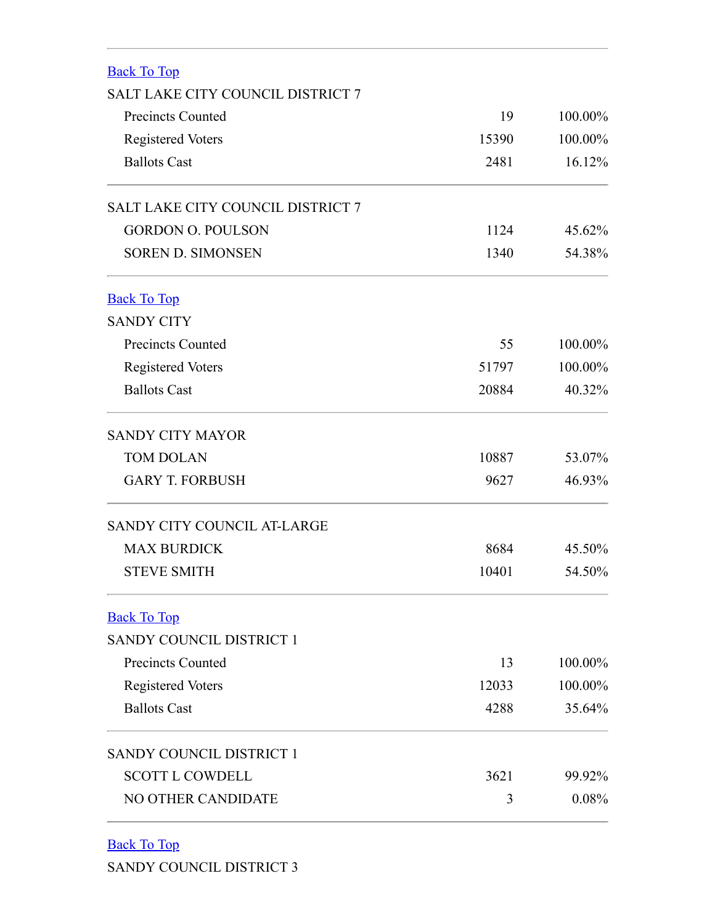<span id="page-6-1"></span><span id="page-6-0"></span>

| <b>Back To Top</b>                       |       |         |
|------------------------------------------|-------|---------|
| SALT LAKE CITY COUNCIL DISTRICT 7        |       |         |
| <b>Precincts Counted</b>                 | 19    | 100.00% |
| <b>Registered Voters</b>                 | 15390 | 100.00% |
| <b>Ballots Cast</b>                      | 2481  | 16.12%  |
| <b>SALT LAKE CITY COUNCIL DISTRICT 7</b> |       |         |
| <b>GORDON O. POULSON</b>                 | 1124  | 45.62%  |
| <b>SOREN D. SIMONSEN</b>                 | 1340  | 54.38%  |
| <b>Back To Top</b>                       |       |         |
| <b>SANDY CITY</b>                        |       |         |
| <b>Precincts Counted</b>                 | 55    | 100.00% |
| <b>Registered Voters</b>                 | 51797 | 100.00% |
| <b>Ballots Cast</b>                      | 20884 | 40.32%  |
| <b>SANDY CITY MAYOR</b>                  |       |         |
| <b>TOM DOLAN</b>                         | 10887 | 53.07%  |
| <b>GARY T. FORBUSH</b>                   | 9627  | 46.93%  |
| SANDY CITY COUNCIL AT-LARGE              |       |         |
| <b>MAX BURDICK</b>                       | 8684  | 45.50%  |
| <b>STEVE SMITH</b>                       | 10401 | 54.50%  |
| <b>Back To Top</b>                       |       |         |
| SANDY COUNCIL DISTRICT 1                 |       |         |
| <b>Precincts Counted</b>                 | 13    | 100.00% |
| <b>Registered Voters</b>                 | 12033 | 100.00% |
| <b>Ballots Cast</b>                      | 4288  | 35.64%  |
| SANDY COUNCIL DISTRICT 1                 |       |         |
| <b>SCOTT L COWDELL</b>                   | 3621  | 99.92%  |
| NO OTHER CANDIDATE                       | 3     | 0.08%   |

<span id="page-6-3"></span><span id="page-6-2"></span>Back To Top SANDY COUNCIL DISTRICT 3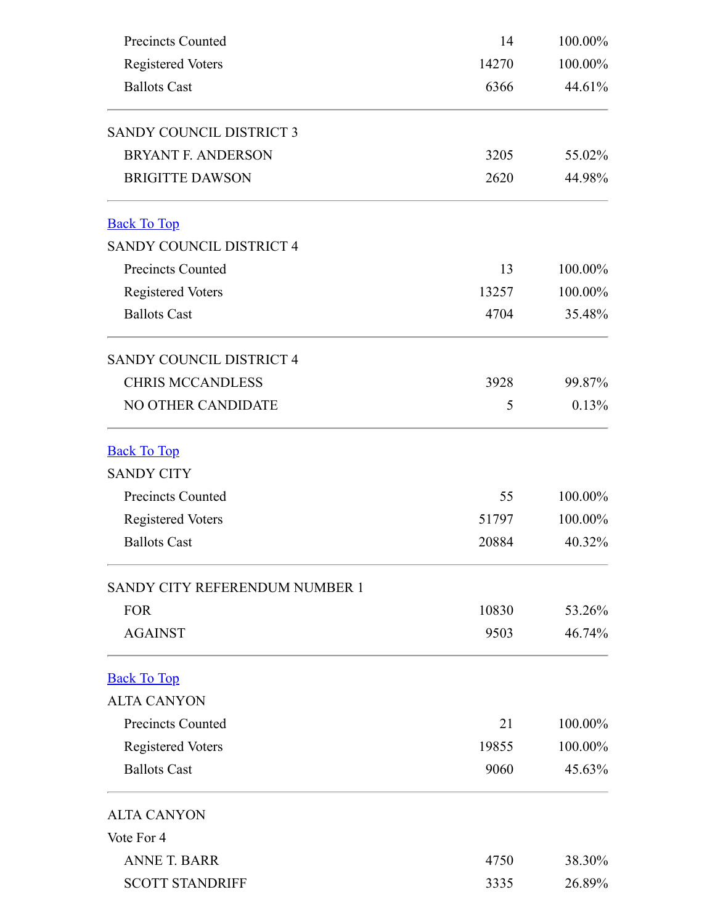<span id="page-7-2"></span><span id="page-7-1"></span><span id="page-7-0"></span>

| <b>Precincts Counted</b><br><b>Registered Voters</b><br><b>Ballots Cast</b> | 14    | 100.00%<br>100.00% |
|-----------------------------------------------------------------------------|-------|--------------------|
|                                                                             | 14270 |                    |
|                                                                             | 6366  | 44.61%             |
| <b>SANDY COUNCIL DISTRICT 3</b>                                             |       |                    |
| <b>BRYANT F. ANDERSON</b>                                                   | 3205  | 55.02%             |
| <b>BRIGITTE DAWSON</b>                                                      | 2620  | 44.98%             |
| <b>Back To Top</b>                                                          |       |                    |
| <b>SANDY COUNCIL DISTRICT 4</b>                                             |       |                    |
| <b>Precincts Counted</b>                                                    | 13    | 100.00%            |
| <b>Registered Voters</b>                                                    | 13257 | 100.00%            |
| <b>Ballots Cast</b>                                                         | 4704  | 35.48%             |
| <b>SANDY COUNCIL DISTRICT 4</b>                                             |       |                    |
| <b>CHRIS MCCANDLESS</b>                                                     | 3928  | 99.87%             |
| NO OTHER CANDIDATE                                                          | 5     | 0.13%              |
| <b>Back To Top</b>                                                          |       |                    |
| <b>SANDY CITY</b>                                                           |       |                    |
| <b>Precincts Counted</b>                                                    | 55    | 100.00%            |
| <b>Registered Voters</b>                                                    | 51797 | 100.00%            |
| <b>Ballots Cast</b>                                                         | 20884 | 40.32%             |
| SANDY CITY REFERENDUM NUMBER 1                                              |       |                    |
| <b>FOR</b>                                                                  | 10830 | 53.26%             |
| <b>AGAINST</b>                                                              | 9503  | 46.74%             |
| <b>Back To Top</b>                                                          |       |                    |
| <b>ALTA CANYON</b>                                                          |       |                    |
| <b>Precincts Counted</b>                                                    | 21    | 100.00%            |
| <b>Registered Voters</b>                                                    | 19855 | 100.00%            |
| <b>Ballots Cast</b>                                                         | 9060  | 45.63%             |
| <b>ALTA CANYON</b>                                                          |       |                    |
| Vote For 4                                                                  |       |                    |
| <b>ANNE T. BARR</b>                                                         | 4750  | 38.30%             |
| <b>SCOTT STANDRIFF</b>                                                      | 3335  | 26.89%             |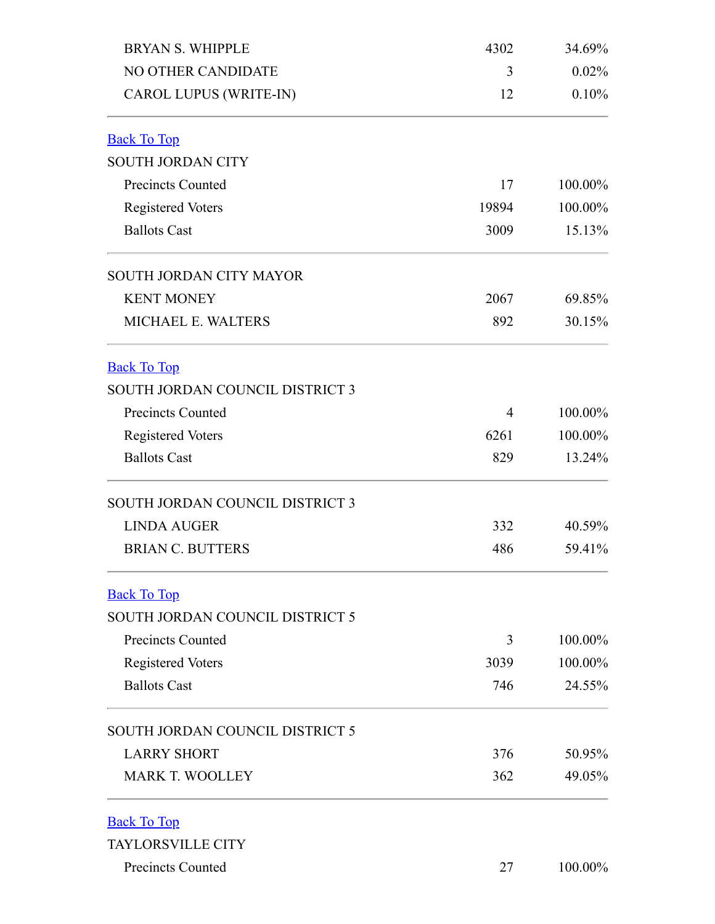<span id="page-8-3"></span><span id="page-8-2"></span><span id="page-8-1"></span><span id="page-8-0"></span>

| <b>BRYAN S. WHIPPLE</b><br>NO OTHER CANDIDATE<br><b>CAROL LUPUS (WRITE-IN)</b> | 4302<br>3<br>12 | 34.69%<br>0.02%<br>0.10% |                          |  |  |
|--------------------------------------------------------------------------------|-----------------|--------------------------|--------------------------|--|--|
|                                                                                |                 |                          | <b>Back To Top</b>       |  |  |
|                                                                                |                 |                          | <b>SOUTH JORDAN CITY</b> |  |  |
| <b>Precincts Counted</b>                                                       | 17              | 100.00%                  |                          |  |  |
| <b>Registered Voters</b>                                                       | 19894           | 100.00%                  |                          |  |  |
| <b>Ballots Cast</b>                                                            | 3009            | 15.13%                   |                          |  |  |
| SOUTH JORDAN CITY MAYOR                                                        |                 |                          |                          |  |  |
| <b>KENT MONEY</b>                                                              | 2067            | 69.85%                   |                          |  |  |
| <b>MICHAEL E. WALTERS</b>                                                      | 892             | 30.15%                   |                          |  |  |
| <b>Back To Top</b>                                                             |                 |                          |                          |  |  |
| SOUTH JORDAN COUNCIL DISTRICT 3                                                |                 |                          |                          |  |  |
| <b>Precincts Counted</b>                                                       | 4               | 100.00%                  |                          |  |  |
| <b>Registered Voters</b>                                                       | 6261            | 100.00%                  |                          |  |  |
| <b>Ballots Cast</b>                                                            | 829             | 13.24%                   |                          |  |  |
| SOUTH JORDAN COUNCIL DISTRICT 3                                                |                 |                          |                          |  |  |
| <b>LINDA AUGER</b>                                                             | 332             | 40.59%                   |                          |  |  |
| <b>BRIAN C. BUTTERS</b>                                                        | 486             | 59.41%                   |                          |  |  |
| <b>Back To Top</b>                                                             |                 |                          |                          |  |  |
| SOUTH JORDAN COUNCIL DISTRICT 5                                                |                 |                          |                          |  |  |
| <b>Precincts Counted</b>                                                       | 3               | 100.00%                  |                          |  |  |
| <b>Registered Voters</b>                                                       | 3039            | 100.00%                  |                          |  |  |
| <b>Ballots Cast</b>                                                            | 746             | 24.55%                   |                          |  |  |
| SOUTH JORDAN COUNCIL DISTRICT 5                                                |                 |                          |                          |  |  |
| <b>LARRY SHORT</b>                                                             | 376             | 50.95%                   |                          |  |  |
| <b>MARK T. WOOLLEY</b>                                                         | 362             | 49.05%                   |                          |  |  |
| <b>Back To Top</b>                                                             |                 |                          |                          |  |  |
| <b>TAYLORSVILLE CITY</b>                                                       |                 |                          |                          |  |  |
| Precincts Counted                                                              | 27              | 100.00%                  |                          |  |  |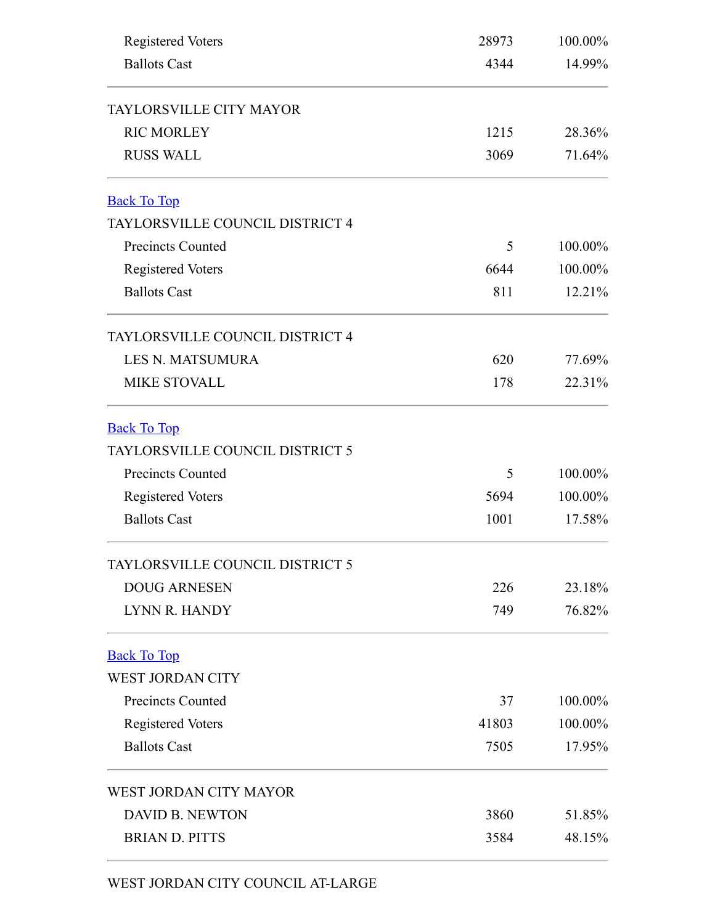<span id="page-9-1"></span><span id="page-9-0"></span>

| <b>Registered Voters</b>        | 28973 | 100.00% |
|---------------------------------|-------|---------|
| <b>Ballots Cast</b>             | 4344  | 14.99%  |
| TAYLORSVILLE CITY MAYOR         |       |         |
| <b>RIC MORLEY</b>               | 1215  | 28.36%  |
| <b>RUSS WALL</b>                | 3069  | 71.64%  |
| <b>Back To Top</b>              |       |         |
| TAYLORSVILLE COUNCIL DISTRICT 4 |       |         |
| <b>Precincts Counted</b>        | 5     | 100.00% |
| <b>Registered Voters</b>        | 6644  | 100.00% |
| <b>Ballots Cast</b>             | 811   | 12.21%  |
| TAYLORSVILLE COUNCIL DISTRICT 4 |       |         |
| <b>LES N. MATSUMURA</b>         | 620   | 77.69%  |
| <b>MIKE STOVALL</b>             | 178   | 22.31%  |
| <b>Back To Top</b>              |       |         |
| TAYLORSVILLE COUNCIL DISTRICT 5 |       |         |
| <b>Precincts Counted</b>        | 5     | 100.00% |
| <b>Registered Voters</b>        | 5694  | 100.00% |
| <b>Ballots Cast</b>             | 1001  | 17.58%  |
| TAYLORSVILLE COUNCIL DISTRICT 5 |       |         |
| <b>DOUG ARNESEN</b>             | 226   | 23.18%  |
| LYNN R. HANDY                   | 749   | 76.82%  |
| <b>Back To Top</b>              |       |         |
| <b>WEST JORDAN CITY</b>         |       |         |
| <b>Precincts Counted</b>        | 37    | 100.00% |
| <b>Registered Voters</b>        | 41803 | 100.00% |
| <b>Ballots Cast</b>             | 7505  | 17.95%  |
| WEST JORDAN CITY MAYOR          |       |         |
| <b>DAVID B. NEWTON</b>          | 3860  | 51.85%  |
| <b>BRIAN D. PITTS</b>           | 3584  | 48.15%  |

<span id="page-9-2"></span>WEST JORDAN CITY COUNCIL AT-LARGE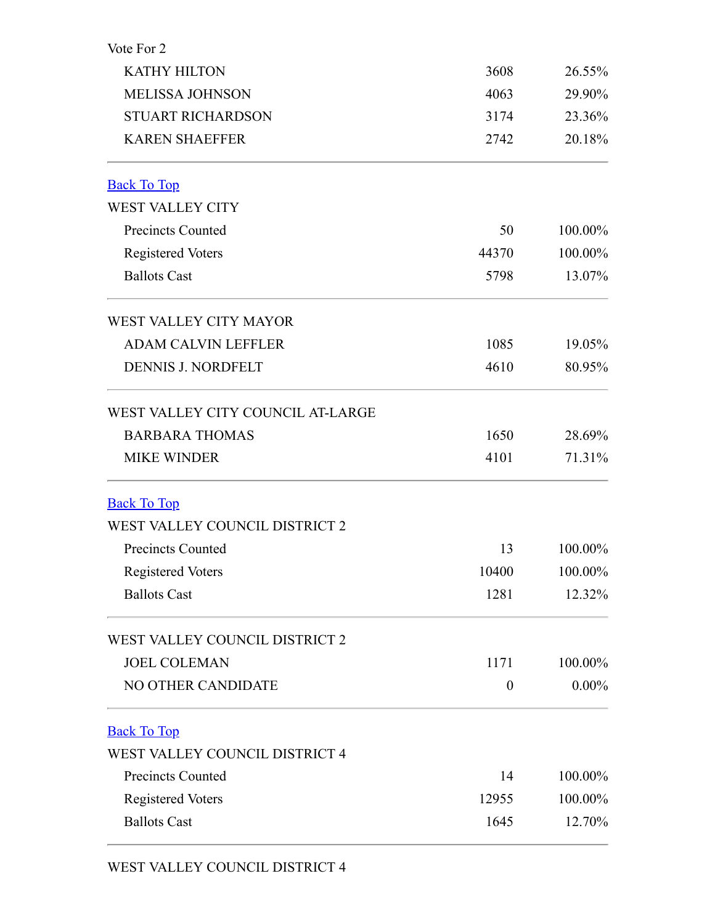<span id="page-10-2"></span><span id="page-10-1"></span><span id="page-10-0"></span>

| Vote For 2                        |                  |          |
|-----------------------------------|------------------|----------|
| <b>KATHY HILTON</b>               | 3608             | 26.55%   |
| <b>MELISSA JOHNSON</b>            | 4063             | 29.90%   |
| <b>STUART RICHARDSON</b>          | 3174             | 23.36%   |
| <b>KAREN SHAEFFER</b>             | 2742             | 20.18%   |
| <b>Back To Top</b>                |                  |          |
| <b>WEST VALLEY CITY</b>           |                  |          |
| <b>Precincts Counted</b>          | 50               | 100.00%  |
| <b>Registered Voters</b>          | 44370            | 100.00%  |
| <b>Ballots Cast</b>               | 5798             | 13.07%   |
| WEST VALLEY CITY MAYOR            |                  |          |
| <b>ADAM CALVIN LEFFLER</b>        | 1085             | 19.05%   |
| <b>DENNIS J. NORDFELT</b>         | 4610             | 80.95%   |
| WEST VALLEY CITY COUNCIL AT-LARGE |                  |          |
| <b>BARBARA THOMAS</b>             | 1650             | 28.69%   |
| <b>MIKE WINDER</b>                | 4101             | 71.31%   |
| <b>Back To Top</b>                |                  |          |
| WEST VALLEY COUNCIL DISTRICT 2    |                  |          |
| <b>Precincts Counted</b>          | 13               | 100.00%  |
| <b>Registered Voters</b>          | 10400            | 100.00%  |
| <b>Ballots Cast</b>               | 1281             | 12.32%   |
| WEST VALLEY COUNCIL DISTRICT 2    |                  |          |
| <b>JOEL COLEMAN</b>               | 1171             | 100.00%  |
| NO OTHER CANDIDATE                | $\boldsymbol{0}$ | $0.00\%$ |
| <b>Back To Top</b>                |                  |          |
| WEST VALLEY COUNCIL DISTRICT 4    |                  |          |
| <b>Precincts Counted</b>          | 14               | 100.00%  |
| <b>Registered Voters</b>          | 12955            | 100.00%  |
| <b>Ballots Cast</b>               | 1645             | 12.70%   |